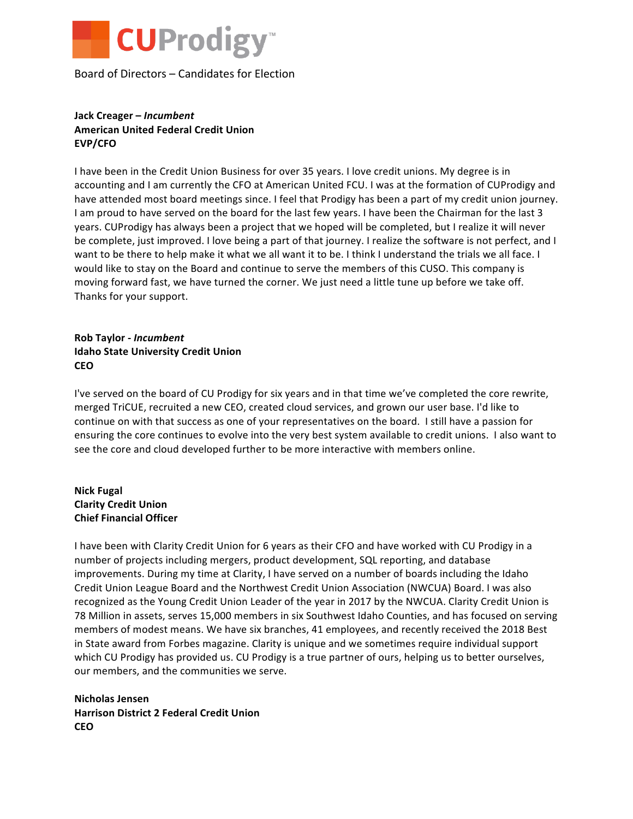

Board of Directors – Candidates for Election

# **Jack Creager –** *Incumbent* **American United Federal Credit Union EVP/CFO**

I have been in the Credit Union Business for over 35 years. I love credit unions. My degree is in accounting and I am currently the CFO at American United FCU. I was at the formation of CUProdigy and have attended most board meetings since. I feel that Prodigy has been a part of my credit union journey. I am proud to have served on the board for the last few years. I have been the Chairman for the last 3 years. CUProdigy has always been a project that we hoped will be completed, but I realize it will never be complete, just improved. I love being a part of that journey. I realize the software is not perfect, and I want to be there to help make it what we all want it to be. I think I understand the trials we all face. I would like to stay on the Board and continue to serve the members of this CUSO. This company is moving forward fast, we have turned the corner. We just need a little tune up before we take off. Thanks for your support.

### **Rob Taylor -** *Incumbent* **Idaho State University Credit Union CEO**

I've served on the board of CU Prodigy for six years and in that time we've completed the core rewrite, merged TriCUE, recruited a new CEO, created cloud services, and grown our user base. I'd like to continue on with that success as one of your representatives on the board. I still have a passion for ensuring the core continues to evolve into the very best system available to credit unions. I also want to see the core and cloud developed further to be more interactive with members online.

# **Nick Fugal Clarity Credit Union Chief Financial Officer**

I have been with Clarity Credit Union for 6 years as their CFO and have worked with CU Prodigy in a number of projects including mergers, product development, SQL reporting, and database improvements. During my time at Clarity, I have served on a number of boards including the Idaho Credit Union League Board and the Northwest Credit Union Association (NWCUA) Board. I was also recognized as the Young Credit Union Leader of the year in 2017 by the NWCUA. Clarity Credit Union is 78 Million in assets, serves 15,000 members in six Southwest Idaho Counties, and has focused on serving members of modest means. We have six branches, 41 employees, and recently received the 2018 Best in State award from Forbes magazine. Clarity is unique and we sometimes require individual support which CU Prodigy has provided us. CU Prodigy is a true partner of ours, helping us to better ourselves, our members, and the communities we serve.

### **Nicholas Jensen Harrison District 2 Federal Credit Union CEO**